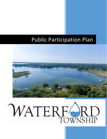# Public Participation Plan

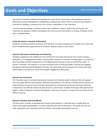The Charter Township of Waterford upholds the needs of the community as the guiding principal for planning and policy development. Establishing a collaborative culture that is consistent and reliable is essential for building a consensus from the various stakeholders in the Township.

To work towards building a cohesive system that establishes "buy-in" within the community, the Township has adopted a Public Participation Plan that lays out these efforts in writing. The goals of this plan is outlined below.

#### **Guide the Charter Township of Waterford**

Establish a method to build a consensus that will drive any given development or policy into a direction that is fundamentally supported by its residents, business owners, and visitors.

#### **Improve Information Distribution and Gathering**

To better supplement the traditional Town Hall format and make documents from events virtually accessible. In a changing world where a communities needs are a constant moving target, it is important that Townships provide multiple forms of feedback beyond having its patrons attend the public "in person" meetings. This requires us to seek innovative ways to keep the public involved and engaged throughout planning and development process. One that seeks various avenues for community input and provides a transparent record of this public engagement afterwards.

#### **Educate the Community**

The Township seeks to provide educational materials and facilitate public initiatives that will support and encourage effective participation. Effective participation in the decision making process requires an understanding of land use issues and the framework for making local investment decisions. Planning professionals and officials need to be well versed in, and employ, multiple techniques that optimize the public's understanding of countless development, planning, and policy concepts that may otherwise be difficult to grasp.

#### **Educate Township Staff and Officials**

This document is meant to develop and maintain staff expertise. It will operate as a guide that can inform and support participation, as well as educate new staff on the basics. This guide also lays out state regulations that Township staff must follow in the public participation process.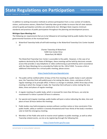In addition to seeking innovative methods to achieve participation from a cross-section of residents, visitors, and business owners, Waterford Township takes great strides to ensure that all state statutes aimed to guide participation activities are satisfactorily met. Michigan State requires minimum standards and practices of public participation throughout the planning and development process.

#### **Michigan Open Meetings Act**

The following are requirements that are to be followed at all meetings held by public bodies that have governmental functions at the municipal level.

1. Waterford Township holds all will hold meetings in the Waterford Township Civic Center located at:

# Charter Township of Waterford 5200 Civic Center Drive Waterford, MI 48329

The Waterford Township Civic Center is accessible to the public. However, in the case of an epidemic declared by the State of Michigan, these meetings will be held by electronic remote access that provides 2-way telephone or video conferencing as permitted by and in accordance with the Open Meetings Act as amended by Public Act No. 228 of 2020. To access a link or additional information for a virtual public meeting, please access:

#### <https://waterfordmi.gov/AgendaCenter>

- 2. The public will be notified within 10 days of the first meeting of a public body in each calendar year; the Township Clerk will publicly post a list stating the dates, times, and places of all its regular meetings at its principle office. If there is a change in schedule, within three days of the meeting in which the change is made, the Township Clerk will post a notice stating the new dates, times and places of regular meetings.
- 3. A regular meeting of a public body, which is recessed for more than 36 hours, can only be reconvened if a notice is posted 18 hours in advance.
- 4. For special and irregular meetings, public bodies will post a notice indicating the date, time and place at least 18 hours before the meetings.
- 5. Public bodies may hold emergency sessions without a written notice or time constraints if the public health, safety or welfare is severely threatened and if two-thirds of the body's members vote to hold the emergency meeting.
- 6. Members of the Public who wish to receive email updates to public meetings, as well as other Township related events, can do so by registering through the following link:

<https://waterfordmi.gov/list.aspx>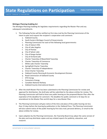# **State Regulations on Participation**

CHARTER TOWNSHIP OF WATERFORD

#### **Michigan Planning Enabling Act**

The Michigan Planning Enabling Act legislates requirements regarding the Master Plan and any subsequent amendments.

- 1. The Following Parties will be notified via first class mail by the Planning Commission of the intent to plan and request the recipient's cooperation and comment:
	- a. Oakland County
	- b. South Eastern Michigan Council of Governments
	- c. Planning Commission for each of the following local governments:
	- d. City of Auburn Hills
	- e. City of Lake Angelus
	- f. City of Pontiac
	- g. City of Sylvan Lake
	- h. City of Keego Harbor
	- i. City of Orchard Lake
	- j. Charter Township of Bloomfield Township
	- k. Charter Township of Commerce
	- l. White Lake Charter Township
	- m. Springfield Charter Township
	- n. Charter Township of Independence
	- o. Orion Charter Township
	- p. Oakland County Planning & Economic Development Division
	- q. Road Commission of Oakland County
	- r. DTE Energy
	- s. Consumers Energy
	- t. Canadian National Railway
	- u. Oakland County International Airport
- 2. After the draft Master Plan has been submitted to the Planning Commission for review and approval for distribution, the draft plan will be submitted to the above entities for review. The Planning Commission will hold at least one public hearing on the proposed Master Plan after the expiration of the deadline for comment. The deadline for public comment is 42 days for an amendment to the Master Plan and 63 days for a new Master Plan.
- 3. The Planning Commission will give notice of the time and place of the public hearing not less than 15 days before the hearing by publication in the Oakland Press. The Planning Commission will also submit notice of the public hearing by first class mail, personal delivery, or email to the above entities for review.
- 4. Upon adoption by the Planning Commission, the Township Board may adopt the same version of the plan and may distribute copies and any related reports for publicity, education, and research.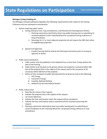#### **Michigan Zoning Enabling Act**

The Michigan Zoning Enabling Act legislates the following requirements with respect to the Zoning Ordinance and any subsequent amendments:

- 1. Actions requiring public notice
	- a. Zoning ordinance text, map amendments, and Planned Unit Developments (PUDs)
		- i. Planning commission shall hold at least one public hearing prior to submitting its recommendations to the Township Board for a proposed zoning ordinance or map amendment.
		- ii. Rezonings for 11 or more adjacent properties do not require the 300-foot notice to neighboring properties.
	- b. Special Use Approvals
		- i. A public hearing shall be held by the Planning Commission prior to issuing an approval or denial.
- 2. Public notice distribution
	- a. Public notice must be published in the Oakland Press no less than 15 days before the date of the hearing.
	- b. Public Notice must be given to all persons whose real property is assessed within 300 feet of the property that is the subject of the request and to the occupants of all structures within 300 feet of the property.
	- c. Notice of time and place of public hearing shall also be given by mail to the following:
		- i. DTE Energy
		- ii. Consumers Energy
		- iii. Canadian National Railway
		- iv. Oakland County International Airport
- 3. Public notices shall
	- a. Describe the nature of the request.
	- b. Indicate the property that is the subject of the request.
	- c. List street addresses.
	- d. Indicate the time and location when the request will be considered.
	- e. Indicate the time and location where comments will be received concerning the request.
	- f. Planning commission shall hold at least one public hearing prior to submitting its recommendations to the Township Board for a proposed zoning ordinance or map amendment.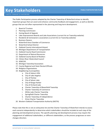The Public Participation process adopted by the Charter Township of Waterford strives to identify important groups that can assist and enhance community feedback and engagement, as well as identify groups that are not often represented in the planning and long-term development.

- 1. Board of Trustees
- 2. Planning Commission
- 3. Zoning Board of Appeals
- 4. Lake Improvement Boards and Lake Associations (current list on Township website)
- 5. Residents & homeowners associations (current list on Township website)
- 6. Business Owners
- 7. Waterford Area Chamber of Commerce
- 8. Waterford School District
- 9. Oakland County International Airport
- 10. Michigan Department of Transportation
- 11. Oakland County Road Commission
- 12. Department of Natural Resources
- 13. Oakland County Board of Realtors
- 14. Clinton River Watershed Council
- 15. SEMCOG
- 16. Michigan Township Association
- 17. County Regional and State Elected Officials
- 18. Religious Organizations
- 19. Neighboring municipalities
	- a. City of Auburn Hills
	- b. City of Lake Angelus
	- c. City of Pontiac
	- d. City of Sylvan Lake
	- e. City of Keego Harbor
	- f. City of Orchard Lake
	- g. Charter Township of Bloomfield Township
	- h. Charter Township of Commerce
	- i. White Lake Charter Township
	- j. Springfield Charter Township
	- k. Charter Township of Independence
	- l. Orion Charter Township
- 20. Western Oakland Transportation Authority (WOTA)

Please note that this is not an exhaustive list and the Charter Township of Waterford intends to assess each scenario independently to determine which stakeholders should be included at each step of the planning and development process. The specific planning and development process may require the engagement of additional stakeholders, or different stakeholders, as the process progresses or even changes direction.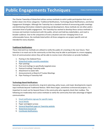The Charter Township of Waterford utilizes various methods to solicit public participation that can be broken down into three categories: Traditional Notifications, Technology Based Notifications, and Active Engagement Strategies. Although the Township has a standard method of announcing public meetings and distributing information related to planning and development, these methods do not often yield a consistent level of public engagement. The Township has worked to develop these various methods to increase and maintain involvement with the public, attract and hold key stakeholders, and reach a broader audience. Due to the uniqueness of every situation and ever-changing times in an unforeseeable future, the methods listed within all three categories are project specific and not intended for every situation.

#### **Traditional Notifications**

These tried and true methods are utilized to notify the public of a meeting in the near future. Their intention is to reach out to the community so that they may be able to participate in a more engaging form of communication where they will be able to receive more information on provide feedback .

- 1. Posting in the Oakland Press
- 2. [Waterford Insider monthly newsletter](https://www.waterfordmi.gov/481/Newsletters)
- 3. Flyer postings
- 4. Post card mailings to specifically targeted areas
- 5. Postcard mailings Township-wide
- 6. Attachment to water bills
- 7. Announcements at Board of Trustee Meetings
- 8. Flyer Posting at Township Hall

#### **Technology Based Notifications**

Sweeping ordinance amendments, long term planning, policy issues, and major developments require input methods beyond Traditional Notices. With these larger, sometimes controversial projects, it is important to reach out far beyond those in the community who regularly check their mailbox. The following are moderately more active methods to notify the community that take advantage of digital communication.

- 1. [Email notification signups for specific topics](https://www.waterfordmi.gov/list.aspx)
- 2. [Social Media](https://www.facebook.com/waterfordtownshipmi/)
- 3. Paper and digital surveys
- 4. [General Newsflash page on Township website](https://www.waterfordmi.gov/CivicAlerts.aspx?AID=810)
- 5. [Waterford Channel 20](https://www.waterfordmi.gov/411/Channel-20-Live)
- 6. [CivicReady Notifications](https://www.waterfordmi.gov/500/Civic-Ready)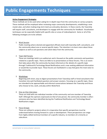#### **Active Engagement Strategies**

These methods are to be used when asking for in-depth input from the community on various projects. These methods will be employed when reviewing major community developments, establishing a new master plan, and when making long-term land use and policy decisions. In these events, the Township will require staff, consultants, and developers to engage with the community for feedback. Visualization techniques can be especially helpful with specific sites or areas of redevelopment. Some or all of the following strategies are to be utilized.

1. Work Session

Public meeting where elected and appointed officials meet with township staff, consultants, and the community about one or several specific topics. The intention is to learn more about these subjects as well as ask questions and solicit ideas from the community.

#### 2. Town Hall Forums

These are meetings held in an auditorium and is focused on the public comments and questions related to a specific topic. There are little to no presentations at these forums. This is an event that takes place after the community has been informed on the details of a specific topic through Traditional & Technology Based Notifications and is now seeking additional information or would like to provide input. These forums are facilitated in a way that gives the most voice to the community.

#### 3. Workshops

Beginning with short, easy to digest presentations from Township staff or hired consultants that transition into well-facilitated question and answer sessions. Focusing on a specific topic, these are intended to be approachable and informal conversations between the Township and those who choose to live, work, and play within Waterford.

#### 4. One-on-One Interviews

These are held with one individual member of the community and one member of Township Staff. Although the opinions expressed are that of one person, the community member is ofte n someone who has been identified during the Traditional Notification and Technology Based Notifications stages.

#### 5. Focus Groups

These are utilized in projects where it is imperative that specific perspectives must be understood before moving forward in a plan or development. These perspectives can range from highly skilled technical members of a specific industry, to members of a minority or subculture.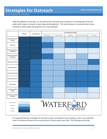With the adoption of this plan, it is the goal of the Township to be proactive in receiving input from the public with respect to long term planning and development. The matrix below is to visualize when these methods to solicit public participation are to be employed.

|                                                    | <b>Traditional</b> | <b>Technology Based</b> | <b>Active Engagement Strategies</b> |                  |           |                       |                     |
|----------------------------------------------------|--------------------|-------------------------|-------------------------------------|------------------|-----------|-----------------------|---------------------|
|                                                    |                    |                         | <b>Work Sessions</b>                | Town Hall Forums | Workshops | One-On-One Interviews | <b>Focus Groups</b> |
| <b>Board and Commission</b><br><b>Meetings</b>     |                    |                         |                                     |                  |           |                       |                     |
| <b>Master Plan</b>                                 |                    |                         |                                     |                  |           |                       |                     |
| <b>Minor Zoning Ordinance</b><br><b>Amendments</b> |                    |                         |                                     |                  |           |                       |                     |
| <b>Major Zoning Ordinance</b><br><b>Amendments</b> |                    |                         |                                     |                  |           |                       |                     |
| <b>Environmental Projects</b>                      |                    |                         |                                     |                  |           |                       |                     |
| <b>Public Infrastructure</b>                       |                    |                         |                                     |                  |           |                       |                     |
| <b>Transportation Planning</b>                     |                    |                         |                                     |                  |           |                       |                     |
| <b>Corridor Improvements</b>                       |                    |                         |                                     |                  |           |                       |                     |
| <b>Sub Area Plans</b>                              |                    |                         |                                     |                  |           |                       |                     |
| <b>Township Assistance</b><br>Programs             |                    |                         |                                     |                  |           |                       |                     |
| <b>Township Related Media</b><br>and Awards        |                    |                         |                                     |                  |           |                       |                     |
|                                                    |                    |                         |                                     |                  |           |                       |                     |
| Rare Situations<br>Sometimes                       | WATERFORD          |                         |                                     |                  |           |                       |                     |
| Always                                             |                    |                         |                                     |                  |           |                       |                     |
| Required                                           |                    |                         |                                     |                  |           |                       |                     |

It is expected that the strategies for outreach would vary based on issue; however, there is an expected level of consistency based on the reoccurrence of these topics every year. The Planning and Zoning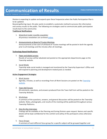# **Communication of Results**

CHARTER TOWNSHIP OF WATERFORD

Division is expecting to update and expand upon these frequencies when the Public Participation Plan is to be updated.

Beyond gathering input, this plan works to establish a systematic method to process this information and convey results to the public. The following are strategies used to communicate public participation results back to the community:

#### **Traditional Notifications**

- 1. *Waterford Insider monthly newsletter* All previous newsletters are archived [online.](https://www.waterfordmi.gov/list.aspx?PRVMSG=235)
- 2. *Announcements at Board of Trustee Meetings* Announcements at the start of all Board of Trustee meetings will be posted in both the agenda prior to all meetings and the minutes after all meetings.

#### **Technology Based Notifications**

1. *Paper and digital surveys*

Results of surveys will be tabulated and posted on the appropriate departments page on the Township website.

2. *Social Media*

Township wide social media is managed and monitored by the Township Supervisor's Office and will respond to planning and development related posts as needed.

#### **Active Engagement Strategies**

1. *Work Session*

Agendas, minutes, as well as recordings from all Work Sessions are posted on the Township [website.](https://waterfordmi.gov/AgendaCenter)

2. *Town Hall Forums*

All comments, questions, and answers produced from the Town Hall Form will be posted on the Township Website.

3. *Workshops*

A summary of the questions, answers, and general discussions will be posted on the Township website. Notes, photographs, and results of the meeting will be publicized throughout various Township Platforms.

*4. One-On-One Interviews*

Findings will be available at the Planning and Zoning Division upon request. Names and specific details will be kept confidential for the comfort and safety of the participant unless otherwise noted.

5. *Focus Groups* A summary of each different focus group for a specific subject will be grouped together and